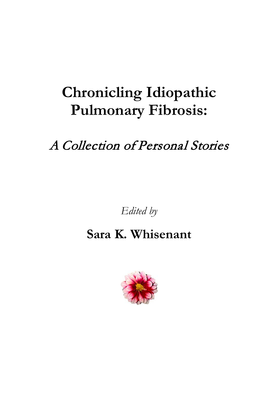# **Chronicling Idiopathic Pulmonary Fibrosis:**

# A Collection of Personal Stories

*Edited by*

# **Sara K. Whisenant**

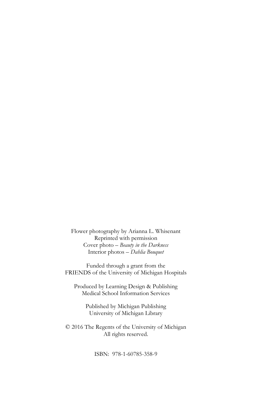Flower photography by Arianna L. Whisenant Reprinted with permission Cover photo – *Beauty in the Darkness* Interior photos – *Dahlia Bouquet*

Funded through a grant from the FRIENDS of the University of Michigan Hospitals

Produced by Learning Design & Publishing Medical School Information Services

> Published by Michigan Publishing University of Michigan Library

© 2016 The Regents of the University of Michigan All rights reserved.

ISBN: 978-1-60785-358-9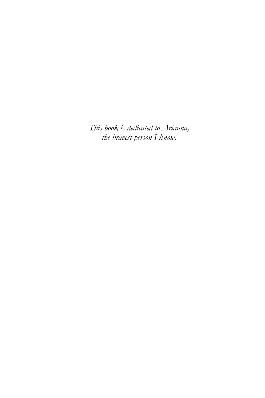*This book is dedicated to Arianna, the bravest person I know.*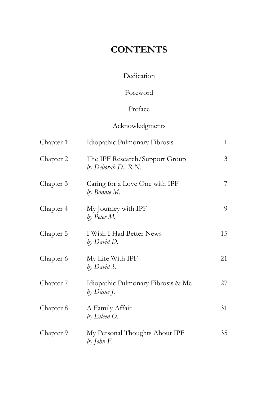## **CONTENTS**

#### Dedication

#### Foreword

#### Preface

#### Acknowledgments

| Chapter 1 | Idiopathic Pulmonary Fibrosis                         | $\mathbf{1}$ |
|-----------|-------------------------------------------------------|--------------|
| Chapter 2 | The IPF Research/Support Group<br>by Deborah D., R.N. | 3            |
| Chapter 3 | Caring for a Love One with IPF<br>by Bonnie M.        | 7            |
| Chapter 4 | My Journey with IPF<br>by Peter M.                    | 9            |
| Chapter 5 | I Wish I Had Better News<br>by David D.               | 15           |
| Chapter 6 | My Life With IPF<br>by David S.                       | 21           |
| Chapter 7 | Idiopathic Pulmonary Fibrosis & Me<br>by Diane J.     | 27           |
| Chapter 8 | A Family Affair<br>by Eileen O.                       | 31           |
| Chapter 9 | My Personal Thoughts About IPF<br>by John F.          | 35           |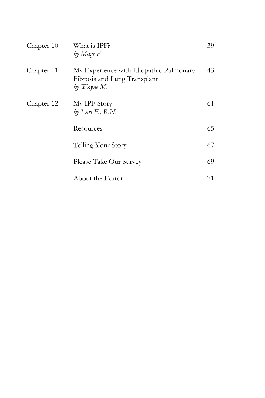| Chapter 10 | What is IPF?<br>by Mary F.                                                             | 39 |
|------------|----------------------------------------------------------------------------------------|----|
| Chapter 11 | My Experience with Idiopathic Pulmonary<br>Fibrosis and Lung Transplant<br>by Wayne M. | 43 |
| Chapter 12 | My IPF Story<br>by Lori F., R.N.                                                       | 61 |
|            | Resources                                                                              | 65 |
|            | Telling Your Story                                                                     | 67 |
|            | Please Take Our Survey                                                                 | 69 |
|            | About the Editor                                                                       | 71 |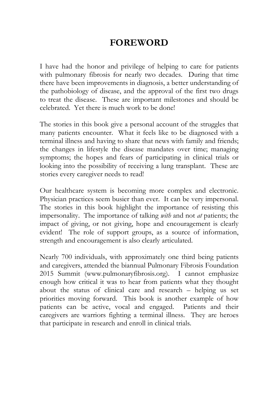### **FOREWORD**

I have had the honor and privilege of helping to care for patients with pulmonary fibrosis for nearly two decades. During that time there have been improvements in diagnosis, a better understanding of the pathobiology of disease, and the approval of the first two drugs to treat the disease. These are important milestones and should be celebrated. Yet there is much work to be done!

The stories in this book give a personal account of the struggles that many patients encounter. What it feels like to be diagnosed with a terminal illness and having to share that news with family and friends; the changes in lifestyle the disease mandates over time; managing symptoms; the hopes and fears of participating in clinical trials or looking into the possibility of receiving a lung transplant. These are stories every caregiver needs to read!

Our healthcare system is becoming more complex and electronic. Physician practices seem busier than ever. It can be very impersonal. The stories in this book highlight the importance of resisting this impersonality. The importance of talking *with* and not *at* patients; the impact of giving, or not giving, hope and encouragement is clearly evident! The role of support groups, as a source of information, strength and encouragement is also clearly articulated.

Nearly 700 individuals, with approximately one third being patients and caregivers, attended the biannual Pulmonary Fibrosis Foundation 2015 Summit (www.pulmonaryfibrosis.org). I cannot emphasize enough how critical it was to hear from patients what they thought about the status of clinical care and research – helping us set priorities moving forward. This book is another example of how patients can be active, vocal and engaged. Patients and their caregivers are warriors fighting a terminal illness. They are heroes that participate in research and enroll in clinical trials.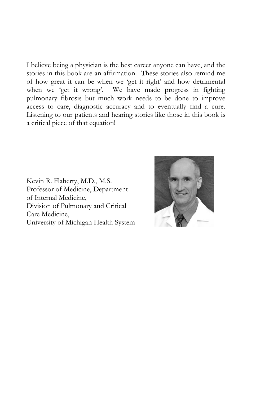I believe being a physician is the best career anyone can have, and the stories in this book are an affirmation. These stories also remind me of how great it can be when we 'get it right' and how detrimental when we 'get it wrong'. We have made progress in fighting pulmonary fibrosis but much work needs to be done to improve access to care, diagnostic accuracy and to eventually find a cure. Listening to our patients and hearing stories like those in this book is a critical piece of that equation!

Kevin R. Flaherty, M.D., M.S. Professor of Medicine, Department of Internal Medicine, Division of Pulmonary and Critical Care Medicine, University of Michigan Health System

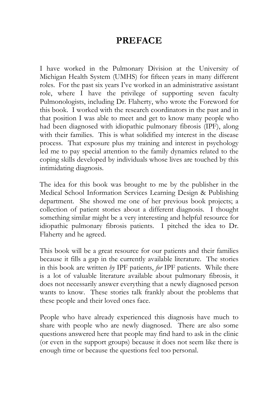### **PREFACE**

I have worked in the Pulmonary Division at the University of Michigan Health System (UMHS) for fifteen years in many different roles. For the past six years I've worked in an administrative assistant role, where I have the privilege of supporting seven faculty Pulmonologists, including Dr. Flaherty, who wrote the Foreword for this book. I worked with the research coordinators in the past and in that position I was able to meet and get to know many people who had been diagnosed with idiopathic pulmonary fibrosis (IPF), along with their families. This is what solidified my interest in the disease process. That exposure plus my training and interest in psychology led me to pay special attention to the family dynamics related to the coping skills developed by individuals whose lives are touched by this intimidating diagnosis.

The idea for this book was brought to me by the publisher in the Medical School Information Services Learning Design & Publishing department. She showed me one of her previous book projects; a collection of patient stories about a different diagnosis. I thought something similar might be a very interesting and helpful resource for idiopathic pulmonary fibrosis patients. I pitched the idea to Dr. Flaherty and he agreed.

This book will be a great resource for our patients and their families because it fills a gap in the currently available literature. The stories in this book are written *by* IPF patients, *for* IPF patients. While there is a lot of valuable literature available about pulmonary fibrosis, it does not necessarily answer everything that a newly diagnosed person wants to know. These stories talk frankly about the problems that these people and their loved ones face.

People who have already experienced this diagnosis have much to share with people who are newly diagnosed. There are also some questions answered here that people may find hard to ask in the clinic (or even in the support groups) because it does not seem like there is enough time or because the questions feel too personal.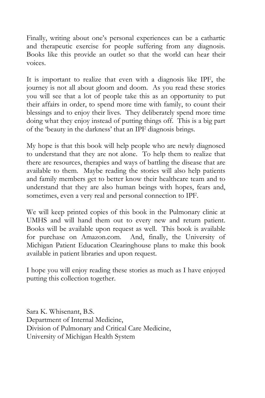Finally, writing about one's personal experiences can be a cathartic and therapeutic exercise for people suffering from any diagnosis. Books like this provide an outlet so that the world can hear their voices.

It is important to realize that even with a diagnosis like IPF, the journey is not all about gloom and doom. As you read these stories you will see that a lot of people take this as an opportunity to put their affairs in order, to spend more time with family, to count their blessings and to enjoy their lives. They deliberately spend more time doing what they enjoy instead of putting things off. This is a big part of the 'beauty in the darkness' that an IPF diagnosis brings.

My hope is that this book will help people who are newly diagnosed to understand that they are not alone. To help them to realize that there are resources, therapies and ways of battling the disease that are available to them. Maybe reading the stories will also help patients and family members get to better know their healthcare team and to understand that they are also human beings with hopes, fears and, sometimes, even a very real and personal connection to IPF.

We will keep printed copies of this book in the Pulmonary clinic at UMHS and will hand them out to every new and return patient. Books will be available upon request as well. This book is available for purchase on Amazon.com. And, finally, the University of Michigan Patient Education Clearinghouse plans to make this book available in patient libraries and upon request.

I hope you will enjoy reading these stories as much as I have enjoyed putting this collection together.

Sara K. Whisenant, B.S. Department of Internal Medicine, Division of Pulmonary and Critical Care Medicine, University of Michigan Health System